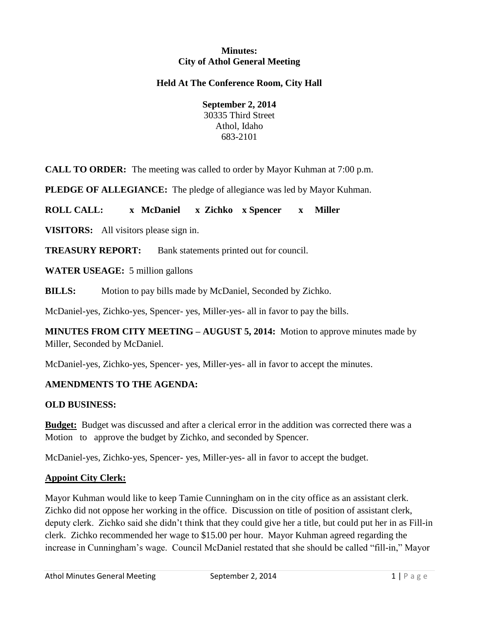#### **Minutes: City of Athol General Meeting**

### **Held At The Conference Room, City Hall**

**September 2, 2014** 30335 Third Street Athol, Idaho 683-2101

**CALL TO ORDER:** The meeting was called to order by Mayor Kuhman at 7:00 p.m.

**PLEDGE OF ALLEGIANCE:** The pledge of allegiance was led by Mayor Kuhman.

**ROLL CALL: x McDaniel x Zichko x Spencer x Miller**

**VISITORS:** All visitors please sign in.

**TREASURY REPORT:** Bank statements printed out for council.

**WATER USEAGE:** 5 million gallons

**BILLS:** Motion to pay bills made by McDaniel, Seconded by Zichko.

McDaniel-yes, Zichko-yes, Spencer- yes, Miller-yes- all in favor to pay the bills.

**MINUTES FROM CITY MEETING – AUGUST 5, 2014:** Motion to approve minutes made by Miller, Seconded by McDaniel.

McDaniel-yes, Zichko-yes, Spencer- yes, Miller-yes- all in favor to accept the minutes.

#### **AMENDMENTS TO THE AGENDA:**

#### **OLD BUSINESS:**

**Budget:** Budget was discussed and after a clerical error in the addition was corrected there was a Motion to approve the budget by Zichko, and seconded by Spencer.

McDaniel-yes, Zichko-yes, Spencer- yes, Miller-yes- all in favor to accept the budget.

#### **Appoint City Clerk:**

Mayor Kuhman would like to keep Tamie Cunningham on in the city office as an assistant clerk. Zichko did not oppose her working in the office. Discussion on title of position of assistant clerk, deputy clerk. Zichko said she didn't think that they could give her a title, but could put her in as Fill-in clerk. Zichko recommended her wage to \$15.00 per hour. Mayor Kuhman agreed regarding the increase in Cunningham's wage. Council McDaniel restated that she should be called "fill-in," Mayor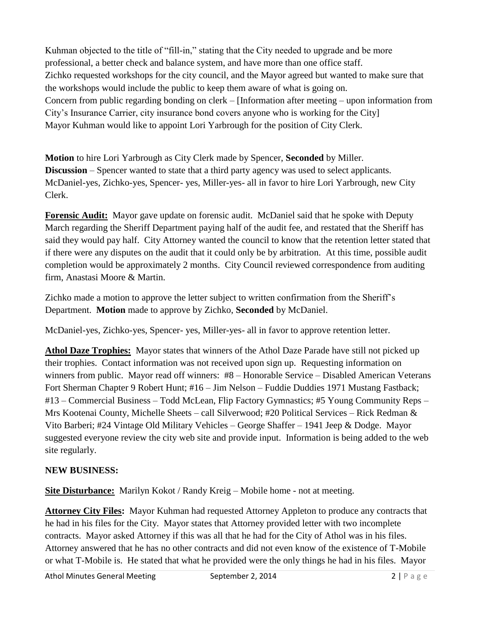Kuhman objected to the title of "fill-in," stating that the City needed to upgrade and be more professional, a better check and balance system, and have more than one office staff. Zichko requested workshops for the city council, and the Mayor agreed but wanted to make sure that the workshops would include the public to keep them aware of what is going on. Concern from public regarding bonding on clerk – [Information after meeting – upon information from City's Insurance Carrier, city insurance bond covers anyone who is working for the City] Mayor Kuhman would like to appoint Lori Yarbrough for the position of City Clerk.

**Motion** to hire Lori Yarbrough as City Clerk made by Spencer, **Seconded** by Miller. **Discussion** – Spencer wanted to state that a third party agency was used to select applicants. McDaniel-yes, Zichko-yes, Spencer- yes, Miller-yes- all in favor to hire Lori Yarbrough, new City Clerk.

**Forensic Audit:** Mayor gave update on forensic audit. McDaniel said that he spoke with Deputy March regarding the Sheriff Department paying half of the audit fee, and restated that the Sheriff has said they would pay half. City Attorney wanted the council to know that the retention letter stated that if there were any disputes on the audit that it could only be by arbitration. At this time, possible audit completion would be approximately 2 months. City Council reviewed correspondence from auditing firm, Anastasi Moore & Martin.

Zichko made a motion to approve the letter subject to written confirmation from the Sheriff's Department. **Motion** made to approve by Zichko, **Seconded** by McDaniel.

McDaniel-yes, Zichko-yes, Spencer- yes, Miller-yes- all in favor to approve retention letter.

**Athol Daze Trophies:** Mayor states that winners of the Athol Daze Parade have still not picked up their trophies. Contact information was not received upon sign up. Requesting information on winners from public. Mayor read off winners: #8 – Honorable Service – Disabled American Veterans Fort Sherman Chapter 9 Robert Hunt; #16 – Jim Nelson – Fuddie Duddies 1971 Mustang Fastback; #13 – Commercial Business – Todd McLean, Flip Factory Gymnastics; #5 Young Community Reps – Mrs Kootenai County, Michelle Sheets – call Silverwood; #20 Political Services – Rick Redman & Vito Barberi; #24 Vintage Old Military Vehicles – George Shaffer – 1941 Jeep & Dodge. Mayor suggested everyone review the city web site and provide input. Information is being added to the web site regularly.

# **NEW BUSINESS:**

**Site Disturbance:** Marilyn Kokot / Randy Kreig – Mobile home - not at meeting.

**Attorney City Files:** Mayor Kuhman had requested Attorney Appleton to produce any contracts that he had in his files for the City. Mayor states that Attorney provided letter with two incomplete contracts. Mayor asked Attorney if this was all that he had for the City of Athol was in his files. Attorney answered that he has no other contracts and did not even know of the existence of T-Mobile or what T-Mobile is. He stated that what he provided were the only things he had in his files. Mayor